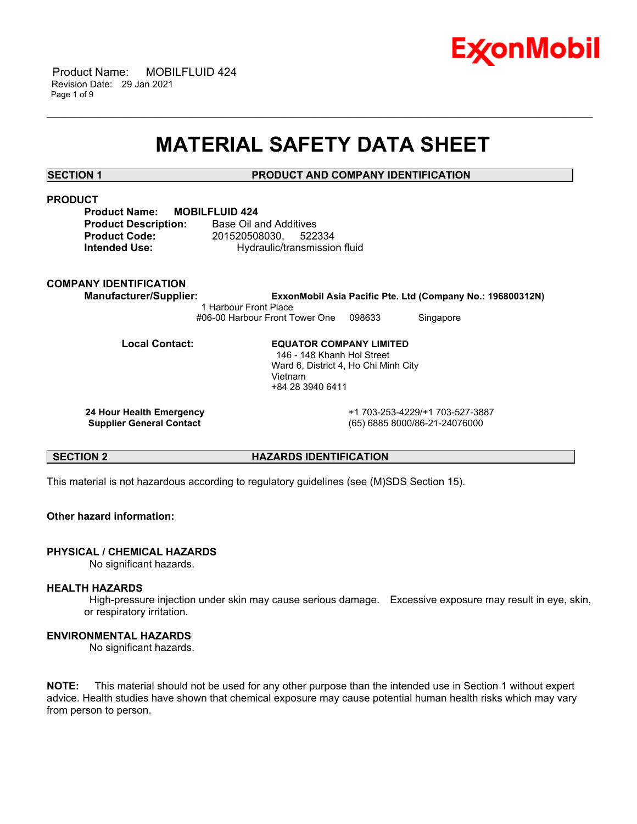

 Product Name: MOBILFLUID 424 Revision Date: 29 Jan 2021 Page 1 of 9

# **MATERIAL SAFETY DATA SHEET**

\_\_\_\_\_\_\_\_\_\_\_\_\_\_\_\_\_\_\_\_\_\_\_\_\_\_\_\_\_\_\_\_\_\_\_\_\_\_\_\_\_\_\_\_\_\_\_\_\_\_\_\_\_\_\_\_\_\_\_\_\_\_\_\_\_\_\_\_\_\_\_\_\_\_\_\_\_\_\_\_\_\_\_\_\_\_\_\_\_\_\_\_\_\_\_\_\_\_\_\_\_\_\_\_\_\_\_\_\_\_\_\_\_\_\_\_\_\_

**SECTION 1 PRODUCT AND COMPANY IDENTIFICATION**

# **PRODUCT**

| <b>Product Name:</b>        | <b>MOBILI</b> |
|-----------------------------|---------------|
| <b>Product Description:</b> |               |
| <b>Product Code:</b>        |               |
| Intended Use:               |               |

**FLUID 424 Base Oil and Additives Product Code:** 201520508030, 522334 **Intended Use:** Hydraulic/transmission fluid

# **COMPANY IDENTIFICATION**

**Manufacturer/Supplier: ExxonMobil Asia Pacific Pte. Ltd (Company No.: 196800312N)** 1 Harbour Front Place #06-00 Harbour Front Tower One 098633 Singapore

**Local Contact: EQUATOR COMPANY LIMITED** 146 - 148 Khanh Hoi Street Ward 6, District 4, Ho Chi Minh City Vietnam +84 28 3940 6411

 **24 Hour Health Emergency** +1 703-253-4229/+1 703-527-3887  **Supplier General Contact** (65) 6885 8000/86-21-24076000

#### **SECTION 2 HAZARDS IDENTIFICATION**

This material is not hazardous according to regulatory guidelines (see (M)SDS Section 15).

# **Other hazard information:**

# **PHYSICAL / CHEMICAL HAZARDS**

No significant hazards.

#### **HEALTH HAZARDS**

 High-pressure injection under skin may cause serious damage. Excessive exposure may result in eye, skin, or respiratory irritation.

# **ENVIRONMENTAL HAZARDS**

No significant hazards.

**NOTE:** This material should not be used for any other purpose than the intended use in Section 1 without expert advice. Health studies have shown that chemical exposure may cause potential human health risks which may vary from person to person.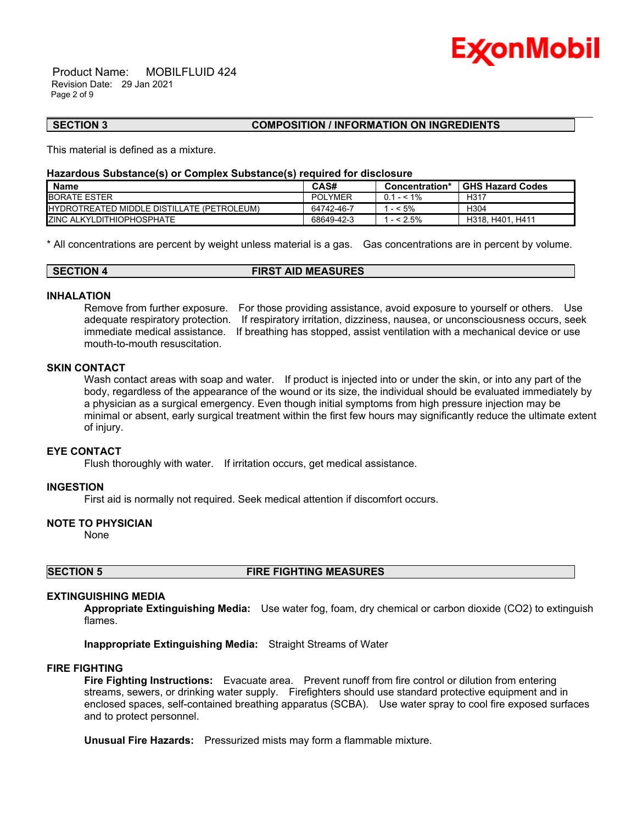

 Product Name: MOBILFLUID 424 Revision Date: 29 Jan 2021 Page 2 of 9

#### **SECTION 3 COMPOSITION / INFORMATION ON INGREDIENTS**

This material is defined as a mixture.

#### **Hazardous Substance(s) or Complex Substance(s) required for disclosure**

| <b>Name</b>                                        | CAS#           | Concentration* | <b>GHS Hazard Codes</b> |
|----------------------------------------------------|----------------|----------------|-------------------------|
| <b>BORATE ESTER</b>                                | <b>POLYMER</b> | $0.1 - 5.1\%$  | H317                    |
| <b>IHYDROTREATED MIDDLE DISTILLATE (PETROLEUM)</b> | 64742-46-7     | $-5\%$         | H304                    |
| <b>IZINC ALKYLDITHIOPHOSPHATE</b>                  | 68649-42-3     | $-52.5%$       | H318, H401, H411        |

\_\_\_\_\_\_\_\_\_\_\_\_\_\_\_\_\_\_\_\_\_\_\_\_\_\_\_\_\_\_\_\_\_\_\_\_\_\_\_\_\_\_\_\_\_\_\_\_\_\_\_\_\_\_\_\_\_\_\_\_\_\_\_\_\_\_\_\_\_\_\_\_\_\_\_\_\_\_\_\_\_\_\_\_\_\_\_\_\_\_\_\_\_\_\_\_\_\_\_\_\_\_\_\_\_\_\_\_\_\_\_\_\_\_\_\_\_\_

\* All concentrations are percent by weight unless material is a gas. Gas concentrations are in percent by volume.

| <b>SECTION 4</b> | <b>FIRST AID MEASURES</b> |  |
|------------------|---------------------------|--|

#### **INHALATION**

Remove from further exposure. For those providing assistance, avoid exposure to yourself or others. Use adequate respiratory protection. If respiratory irritation, dizziness, nausea, or unconsciousness occurs, seek immediate medical assistance. If breathing has stopped, assist ventilation with a mechanical device or use mouth-to-mouth resuscitation.

# **SKIN CONTACT**

Wash contact areas with soap and water. If product is injected into or under the skin, or into any part of the body, regardless of the appearance of the wound or its size, the individual should be evaluated immediately by a physician as a surgical emergency. Even though initial symptoms from high pressure injection may be minimal or absent, early surgical treatment within the first few hours may significantly reduce the ultimate extent of injury.

# **EYE CONTACT**

Flush thoroughly with water. If irritation occurs, get medical assistance.

# **INGESTION**

First aid is normally not required. Seek medical attention if discomfort occurs.

#### **NOTE TO PHYSICIAN**

None

### **SECTION 5 FIRE FIGHTING MEASURES**

#### **EXTINGUISHING MEDIA**

**Appropriate Extinguishing Media:** Use water fog, foam, dry chemical or carbon dioxide (CO2) to extinguish flames.

**Inappropriate Extinguishing Media:** Straight Streams of Water

#### **FIRE FIGHTING**

**Fire Fighting Instructions:** Evacuate area. Prevent runoff from fire control or dilution from entering streams, sewers, or drinking water supply. Firefighters should use standard protective equipment and in enclosed spaces, self-contained breathing apparatus (SCBA). Use water spray to cool fire exposed surfaces and to protect personnel.

**Unusual Fire Hazards:** Pressurized mists may form a flammable mixture.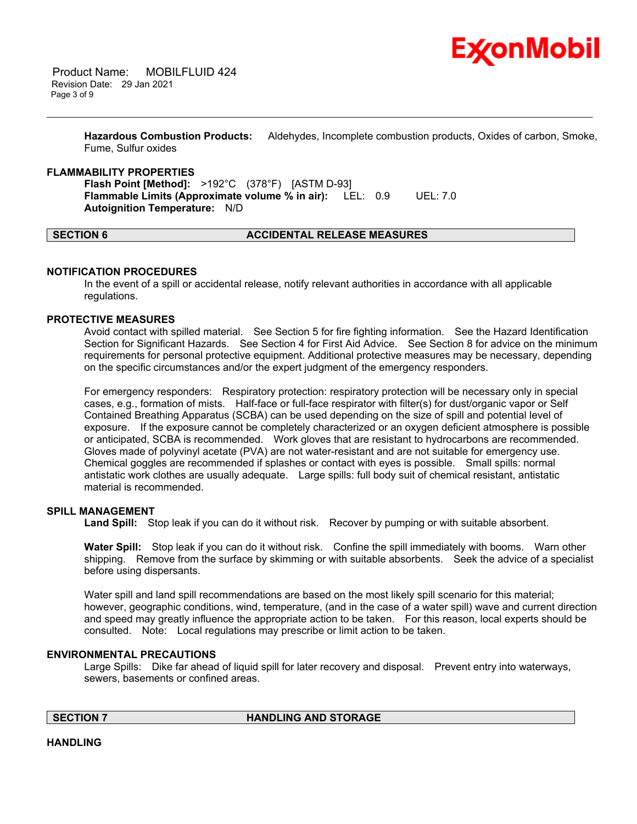

**Hazardous Combustion Products:** Aldehydes, Incomplete combustion products, Oxides of carbon, Smoke, Fume, Sulfur oxides

\_\_\_\_\_\_\_\_\_\_\_\_\_\_\_\_\_\_\_\_\_\_\_\_\_\_\_\_\_\_\_\_\_\_\_\_\_\_\_\_\_\_\_\_\_\_\_\_\_\_\_\_\_\_\_\_\_\_\_\_\_\_\_\_\_\_\_\_\_\_\_\_\_\_\_\_\_\_\_\_\_\_\_\_\_\_\_\_\_\_\_\_\_\_\_\_\_\_\_\_\_\_\_\_\_\_\_\_\_\_\_\_\_\_\_\_\_\_

### **FLAMMABILITY PROPERTIES**

**Flash Point [Method]:** >192°C (378°F) [ASTM D-93] **Flammable Limits (Approximate volume % in air):** LEL: 0.9 UEL: 7.0 **Autoignition Temperature:** N/D

# **SECTION 6 ACCIDENTAL RELEASE MEASURES**

### **NOTIFICATION PROCEDURES**

In the event of a spill or accidental release, notify relevant authorities in accordance with all applicable regulations.

#### **PROTECTIVE MEASURES**

Avoid contact with spilled material. See Section 5 for fire fighting information. See the Hazard Identification Section for Significant Hazards. See Section 4 for First Aid Advice. See Section 8 for advice on the minimum requirements for personal protective equipment. Additional protective measures may be necessary, depending on the specific circumstances and/or the expert judgment of the emergency responders.

For emergency responders: Respiratory protection: respiratory protection will be necessary only in special cases, e.g., formation of mists. Half-face or full-face respirator with filter(s) for dust/organic vapor or Self Contained Breathing Apparatus (SCBA) can be used depending on the size of spill and potential level of exposure. If the exposure cannot be completely characterized or an oxygen deficient atmosphere is possible or anticipated, SCBA is recommended. Work gloves that are resistant to hydrocarbons are recommended. Gloves made of polyvinyl acetate (PVA) are not water-resistant and are not suitable for emergency use. Chemical goggles are recommended if splashes or contact with eyes is possible. Small spills: normal antistatic work clothes are usually adequate. Large spills: full body suit of chemical resistant, antistatic material is recommended.

# **SPILL MANAGEMENT**

Land Spill: Stop leak if you can do it without risk. Recover by pumping or with suitable absorbent.

**Water Spill:** Stop leak if you can do it without risk. Confine the spill immediately with booms. Warn other shipping. Remove from the surface by skimming or with suitable absorbents. Seek the advice of a specialist before using dispersants.

Water spill and land spill recommendations are based on the most likely spill scenario for this material; however, geographic conditions, wind, temperature, (and in the case of a water spill) wave and current direction and speed may greatly influence the appropriate action to be taken. For this reason, local experts should be consulted. Note: Local regulations may prescribe or limit action to be taken.

#### **ENVIRONMENTAL PRECAUTIONS**

Large Spills: Dike far ahead of liquid spill for later recovery and disposal. Prevent entry into waterways, sewers, basements or confined areas.

**SECTION 7 HANDLING AND STORAGE** 

**HANDLING**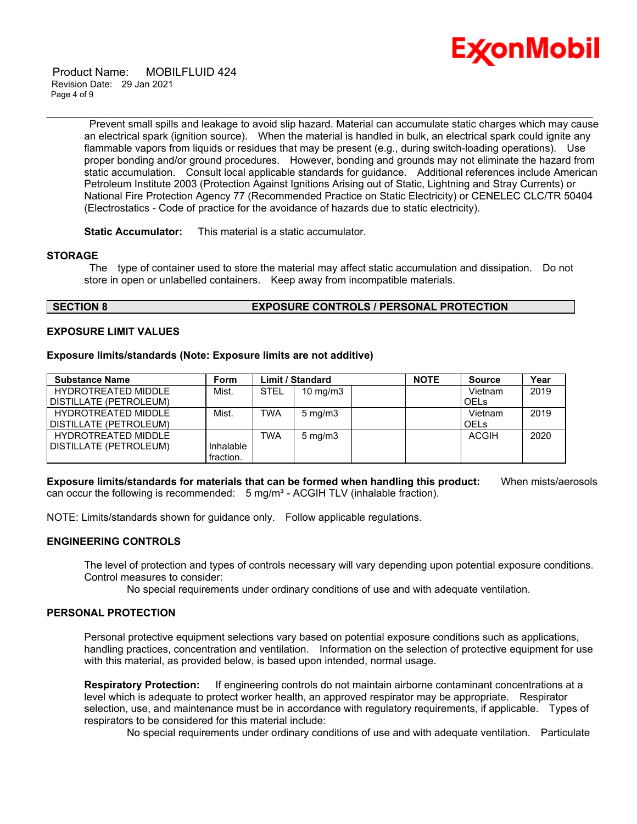

 Product Name: MOBILFLUID 424 Revision Date: 29 Jan 2021 Page 4 of 9

> Prevent small spills and leakage to avoid slip hazard. Material can accumulate static charges which may cause an electrical spark (ignition source). When the material is handled in bulk, an electrical spark could ignite any flammable vapors from liquids or residues that may be present (e.g., during switch-loading operations). Use proper bonding and/or ground procedures. However, bonding and grounds may not eliminate the hazard from static accumulation. Consult local applicable standards for guidance. Additional references include American Petroleum Institute 2003 (Protection Against Ignitions Arising out of Static, Lightning and Stray Currents) or National Fire Protection Agency 77 (Recommended Practice on Static Electricity) or CENELEC CLC/TR 50404 (Electrostatics - Code of practice for the avoidance of hazards due to static electricity).

\_\_\_\_\_\_\_\_\_\_\_\_\_\_\_\_\_\_\_\_\_\_\_\_\_\_\_\_\_\_\_\_\_\_\_\_\_\_\_\_\_\_\_\_\_\_\_\_\_\_\_\_\_\_\_\_\_\_\_\_\_\_\_\_\_\_\_\_\_\_\_\_\_\_\_\_\_\_\_\_\_\_\_\_\_\_\_\_\_\_\_\_\_\_\_\_\_\_\_\_\_\_\_\_\_\_\_\_\_\_\_\_\_\_\_\_\_\_

**Static Accumulator:** This material is a static accumulator.

### **STORAGE**

 The type of container used to store the material may affect static accumulation and dissipation. Do not store in open or unlabelled containers. Keep away from incompatible materials.

### **SECTION 8 EXPOSURE CONTROLS / PERSONAL PROTECTION**

### **EXPOSURE LIMIT VALUES**

#### **Exposure limits/standards (Note: Exposure limits are not additive)**

| <b>Substance Name</b>      | <b>Form</b> |             | <b>Limit / Standard</b> | <b>NOTE</b> | <b>Source</b> | Year |
|----------------------------|-------------|-------------|-------------------------|-------------|---------------|------|
| <b>HYDROTREATED MIDDLE</b> | Mist.       | <b>STEL</b> | $10 \text{ mg/m}$       |             | Vietnam       | 2019 |
| DISTILLATE (PETROLEUM)     |             |             |                         |             | <b>OELS</b>   |      |
| <b>HYDROTREATED MIDDLE</b> | Mist.       | <b>TWA</b>  | $5 \text{ mg/m}$        |             | Vietnam       | 2019 |
| DISTILLATE (PETROLEUM)     |             |             |                         |             | <b>OELS</b>   |      |
| <b>HYDROTREATED MIDDLE</b> |             | TWA         | $5 \text{ mg/m}$        |             | <b>ACGIH</b>  | 2020 |
| DISTILLATE (PETROLEUM)     | Inhalable   |             |                         |             |               |      |
|                            | fraction.   |             |                         |             |               |      |

**Exposure limits/standards for materials that can be formed when handling this product:** When mists/aerosols can occur the following is recommended:  $5$  mg/m<sup>3</sup> - ACGIH TLV (inhalable fraction).

NOTE: Limits/standards shown for guidance only. Follow applicable regulations.

# **ENGINEERING CONTROLS**

The level of protection and types of controls necessary will vary depending upon potential exposure conditions. Control measures to consider:

No special requirements under ordinary conditions of use and with adequate ventilation.

# **PERSONAL PROTECTION**

Personal protective equipment selections vary based on potential exposure conditions such as applications, handling practices, concentration and ventilation. Information on the selection of protective equipment for use with this material, as provided below, is based upon intended, normal usage.

**Respiratory Protection:** If engineering controls do not maintain airborne contaminant concentrations at a level which is adequate to protect worker health, an approved respirator may be appropriate. Respirator selection, use, and maintenance must be in accordance with regulatory requirements, if applicable. Types of respirators to be considered for this material include:

No special requirements under ordinary conditions of use and with adequate ventilation. Particulate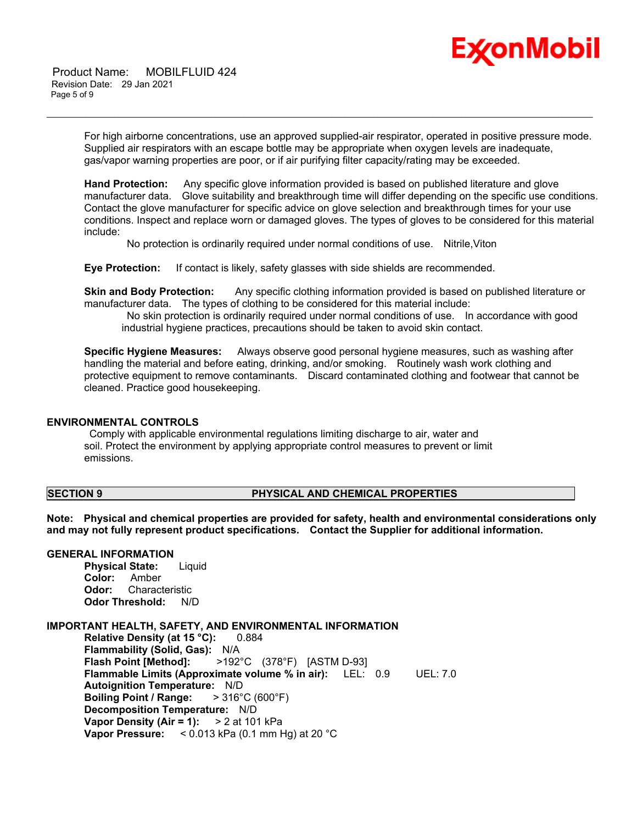

 Product Name: MOBILFLUID 424 Revision Date: 29 Jan 2021 Page 5 of 9

> For high airborne concentrations, use an approved supplied-air respirator, operated in positive pressure mode. Supplied air respirators with an escape bottle may be appropriate when oxygen levels are inadequate, gas/vapor warning properties are poor, or if air purifying filter capacity/rating may be exceeded.

\_\_\_\_\_\_\_\_\_\_\_\_\_\_\_\_\_\_\_\_\_\_\_\_\_\_\_\_\_\_\_\_\_\_\_\_\_\_\_\_\_\_\_\_\_\_\_\_\_\_\_\_\_\_\_\_\_\_\_\_\_\_\_\_\_\_\_\_\_\_\_\_\_\_\_\_\_\_\_\_\_\_\_\_\_\_\_\_\_\_\_\_\_\_\_\_\_\_\_\_\_\_\_\_\_\_\_\_\_\_\_\_\_\_\_\_\_\_

**Hand Protection:** Any specific glove information provided is based on published literature and glove manufacturer data. Glove suitability and breakthrough time will differ depending on the specific use conditions. Contact the glove manufacturer for specific advice on glove selection and breakthrough times for your use conditions. Inspect and replace worn or damaged gloves. The types of gloves to be considered for this material include:

No protection is ordinarily required under normal conditions of use. Nitrile,Viton

**Eye Protection:** If contact is likely, safety glasses with side shields are recommended.

**Skin and Body Protection:** Any specific clothing information provided is based on published literature or manufacturer data. The types of clothing to be considered for this material include:

 No skin protection is ordinarily required under normal conditions of use. In accordance with good industrial hygiene practices, precautions should be taken to avoid skin contact.

**Specific Hygiene Measures:** Always observe good personal hygiene measures, such as washing after handling the material and before eating, drinking, and/or smoking. Routinely wash work clothing and protective equipment to remove contaminants. Discard contaminated clothing and footwear that cannot be cleaned. Practice good housekeeping.

#### **ENVIRONMENTAL CONTROLS**

 Comply with applicable environmental regulations limiting discharge to air, water and soil. Protect the environment by applying appropriate control measures to prevent or limit emissions.

### **SECTION 9 PHYSICAL AND CHEMICAL PROPERTIES**

**Note: Physical and chemical properties are provided for safety, health and environmental considerations only and may not fully represent product specifications. Contact the Supplier for additional information.**

# **GENERAL INFORMATION**

**Physical State:** Liquid **Color:** Amber **Odor:** Characteristic **Odor Threshold:** N/D

# **IMPORTANT HEALTH, SAFETY, AND ENVIRONMENTAL INFORMATION**

**Relative Density (at 15 °C):** 0.884 **Flammability (Solid, Gas):** N/A **Flash Point [Method]:** >192°C (378°F) [ASTM D-93] **Flammable Limits (Approximate volume % in air):** LEL: 0.9 UEL: 7.0 **Autoignition Temperature:** N/D **Boiling Point / Range:** > 316°C (600°F) **Decomposition Temperature:** N/D **Vapor Density (Air = 1):** > 2 at 101 kPa **Vapor Pressure:** < 0.013 kPa (0.1 mm Hg) at 20 °C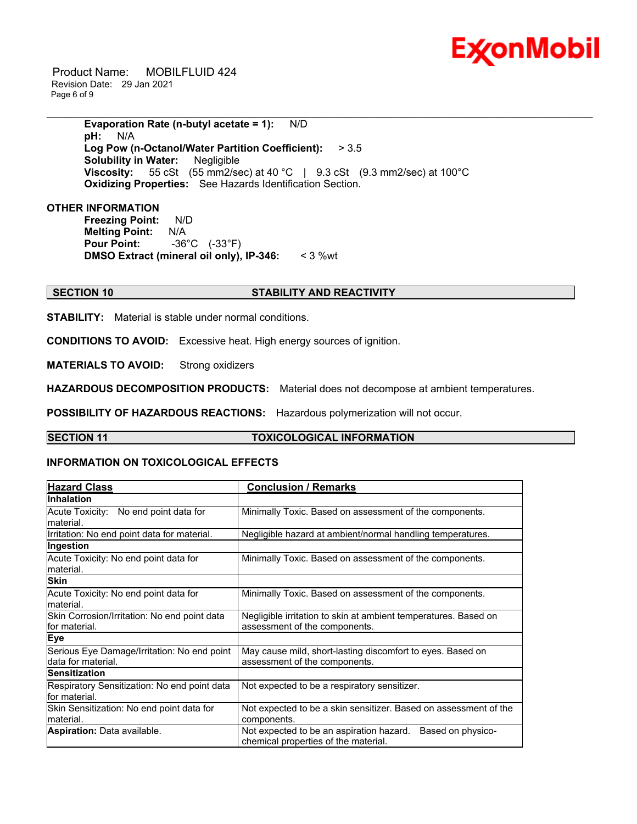

 Product Name: MOBILFLUID 424 Revision Date: 29 Jan 2021 Page 6 of 9

> **Evaporation Rate (n-butyl acetate = 1):** N/D **pH:** N/A **Log Pow (n-Octanol/Water Partition Coefficient):** > 3.5 **Solubility in Water:** Negligible **Viscosity:** 55 cSt (55 mm2/sec) at 40 °C | 9.3 cSt (9.3 mm2/sec) at 100 °C **Oxidizing Properties:** See Hazards Identification Section.

\_\_\_\_\_\_\_\_\_\_\_\_\_\_\_\_\_\_\_\_\_\_\_\_\_\_\_\_\_\_\_\_\_\_\_\_\_\_\_\_\_\_\_\_\_\_\_\_\_\_\_\_\_\_\_\_\_\_\_\_\_\_\_\_\_\_\_\_\_\_\_\_\_\_\_\_\_\_\_\_\_\_\_\_\_\_\_\_\_\_\_\_\_\_\_\_\_\_\_\_\_\_\_\_\_\_\_\_\_\_\_\_\_\_\_\_\_\_

## **OTHER INFORMATION**

**Freezing Point:** N/D **Melting Point:** N/A **Pour Point:** -36°C (-33°F) **DMSO Extract (mineral oil only), IP-346:** < 3 %wt

# **SECTION 10 STABILITY AND REACTIVITY**

**STABILITY:** Material is stable under normal conditions.

**CONDITIONS TO AVOID:** Excessive heat. High energy sources of ignition.

**MATERIALS TO AVOID:** Strong oxidizers

**HAZARDOUS DECOMPOSITION PRODUCTS:** Material does not decompose at ambient temperatures.

**POSSIBILITY OF HAZARDOUS REACTIONS:** Hazardous polymerization will not occur.

# **SECTION 11 TOXICOLOGICAL INFORMATION**

#### **INFORMATION ON TOXICOLOGICAL EFFECTS**

| <b>Hazard Class</b>                                               | <b>Conclusion / Remarks</b>                                                                           |
|-------------------------------------------------------------------|-------------------------------------------------------------------------------------------------------|
| <b>Inhalation</b>                                                 |                                                                                                       |
| Acute Toxicity: No end point data for<br>lmaterial.               | Minimally Toxic. Based on assessment of the components.                                               |
| Irritation: No end point data for material.                       | Negligible hazard at ambient/normal handling temperatures.                                            |
| Ingestion                                                         |                                                                                                       |
| Acute Toxicity: No end point data for<br>lmaterial.               | Minimally Toxic. Based on assessment of the components.                                               |
| <b>Skin</b>                                                       |                                                                                                       |
| Acute Toxicity: No end point data for<br>lmaterial.               | Minimally Toxic. Based on assessment of the components.                                               |
| Skin Corrosion/Irritation: No end point data<br>lfor material.    | Negligible irritation to skin at ambient temperatures. Based on<br>assessment of the components.      |
| <b>Eye</b>                                                        |                                                                                                       |
| Serious Eye Damage/Irritation: No end point<br>data for material. | May cause mild, short-lasting discomfort to eyes. Based on<br>assessment of the components.           |
| <b>Sensitization</b>                                              |                                                                                                       |
| Respiratory Sensitization: No end point data<br>lfor material.    | Not expected to be a respiratory sensitizer.                                                          |
| Skin Sensitization: No end point data for<br>material.            | Not expected to be a skin sensitizer. Based on assessment of the<br>components.                       |
| <b>Aspiration: Data available.</b>                                | Based on physico-<br>Not expected to be an aspiration hazard.<br>chemical properties of the material. |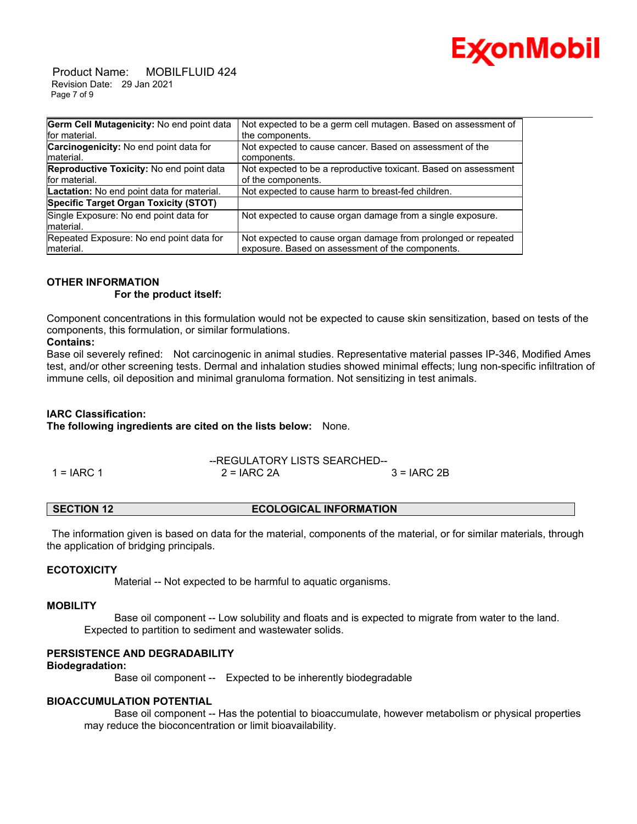

 Product Name: MOBILFLUID 424 Revision Date: 29 Jan 2021 Page 7 of 9

| Germ Cell Mutagenicity: No end point data     | Not expected to be a germ cell mutagen. Based on assessment of  |
|-----------------------------------------------|-----------------------------------------------------------------|
| for material.                                 | the components.                                                 |
| <b>Carcinogenicity:</b> No end point data for | Not expected to cause cancer. Based on assessment of the        |
| Imaterial.                                    | components.                                                     |
| Reproductive Toxicity: No end point data      | Not expected to be a reproductive toxicant. Based on assessment |
| for material.                                 | of the components.                                              |
| Lactation: No end point data for material.    | Not expected to cause harm to breast-fed children.              |
| Specific Target Organ Toxicity (STOT)         |                                                                 |
| Single Exposure: No end point data for        | Not expected to cause organ damage from a single exposure.      |
| material.                                     |                                                                 |
| Repeated Exposure: No end point data for      | Not expected to cause organ damage from prolonged or repeated   |
| material.                                     | exposure. Based on assessment of the components.                |

# **OTHER INFORMATION**

#### **For the product itself:**

Component concentrations in this formulation would not be expected to cause skin sensitization, based on tests of the components, this formulation, or similar formulations.

# **Contains:**

Base oil severely refined: Not carcinogenic in animal studies. Representative material passes IP-346, Modified Ames test, and/or other screening tests. Dermal and inhalation studies showed minimal effects; lung non-specific infiltration of immune cells, oil deposition and minimal granuloma formation. Not sensitizing in test animals.

# **IARC Classification:**

**The following ingredients are cited on the lists below:** None.

|            | --REGULATORY LISTS SEARCHED-- |              |
|------------|-------------------------------|--------------|
| 1 = IARC 1 | $2 = IARC 2A$                 | $3 = IARC2B$ |

# **SECTION 12 ECOLOGICAL INFORMATION**

 The information given is based on data for the material, components of the material, or for similar materials, through the application of bridging principals.

# **ECOTOXICITY**

Material -- Not expected to be harmful to aquatic organisms.

#### **MOBILITY**

 Base oil component -- Low solubility and floats and is expected to migrate from water to the land. Expected to partition to sediment and wastewater solids.

# **PERSISTENCE AND DEGRADABILITY**

#### **Biodegradation:**

Base oil component -- Expected to be inherently biodegradable

# **BIOACCUMULATION POTENTIAL**

 Base oil component -- Has the potential to bioaccumulate, however metabolism or physical properties may reduce the bioconcentration or limit bioavailability.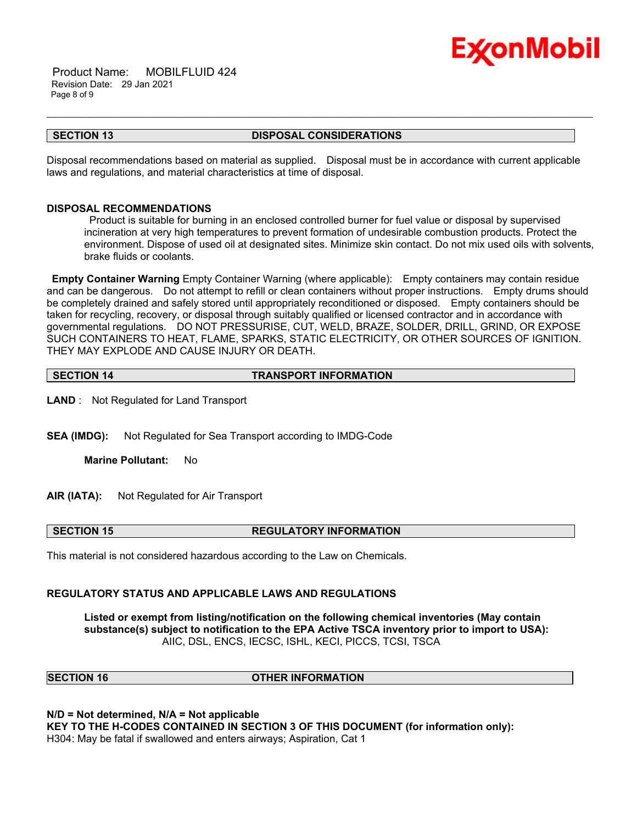

 Product Name: MOBILFLUID 424 Revision Date: 29 Jan 2021 Page 8 of 9

#### **SECTION 13 DISPOSAL CONSIDERATIONS**

\_\_\_\_\_\_\_\_\_\_\_\_\_\_\_\_\_\_\_\_\_\_\_\_\_\_\_\_\_\_\_\_\_\_\_\_\_\_\_\_\_\_\_\_\_\_\_\_\_\_\_\_\_\_\_\_\_\_\_\_\_\_\_\_\_\_\_\_\_\_\_\_\_\_\_\_\_\_\_\_\_\_\_\_\_\_\_\_\_\_\_\_\_\_\_\_\_\_\_\_\_\_\_\_\_\_\_\_\_\_\_\_\_\_\_\_\_\_

Disposal recommendations based on material as supplied. Disposal must be in accordance with current applicable laws and regulations, and material characteristics at time of disposal.

### **DISPOSAL RECOMMENDATIONS**

 Product is suitable for burning in an enclosed controlled burner for fuel value or disposal by supervised incineration at very high temperatures to prevent formation of undesirable combustion products. Protect the environment. Dispose of used oil at designated sites. Minimize skin contact. Do not mix used oils with solvents, brake fluids or coolants.

**Empty Container Warning** Empty Container Warning (where applicable): Empty containers may contain residue and can be dangerous. Do not attempt to refill or clean containers without proper instructions. Empty drums should be completely drained and safely stored until appropriately reconditioned or disposed. Empty containers should be taken for recycling, recovery, or disposal through suitably qualified or licensed contractor and in accordance with governmental regulations. DO NOT PRESSURISE, CUT, WELD, BRAZE, SOLDER, DRILL, GRIND, OR EXPOSE SUCH CONTAINERS TO HEAT, FLAME, SPARKS, STATIC ELECTRICITY, OR OTHER SOURCES OF IGNITION. THEY MAY EXPLODE AND CAUSE INJURY OR DEATH.

| <b>TRANSPORT INFORMATION</b><br><b>SECTION 14</b> |
|---------------------------------------------------|
|---------------------------------------------------|

**LAND** : Not Regulated for Land Transport

**SEA (IMDG):** Not Regulated for Sea Transport according to IMDG-Code

**Marine Pollutant:** No

**AIR (IATA):** Not Regulated for Air Transport

# **SECTION 15 REGULATORY INFORMATION**

This material is not considered hazardous according to the Law on Chemicals.

# **REGULATORY STATUS AND APPLICABLE LAWS AND REGULATIONS**

**Listed or exempt from listing/notification on the following chemical inventories (May contain substance(s) subject to notification to the EPA Active TSCA inventory prior to import to USA):**  AIIC, DSL, ENCS, IECSC, ISHL, KECI, PICCS, TCSI, TSCA

**SECTION 16 OTHER INFORMATION**

**N/D = Not determined, N/A = Not applicable**

**KEY TO THE H-CODES CONTAINED IN SECTION 3 OF THIS DOCUMENT (for information only):** H304: May be fatal if swallowed and enters airways; Aspiration, Cat 1